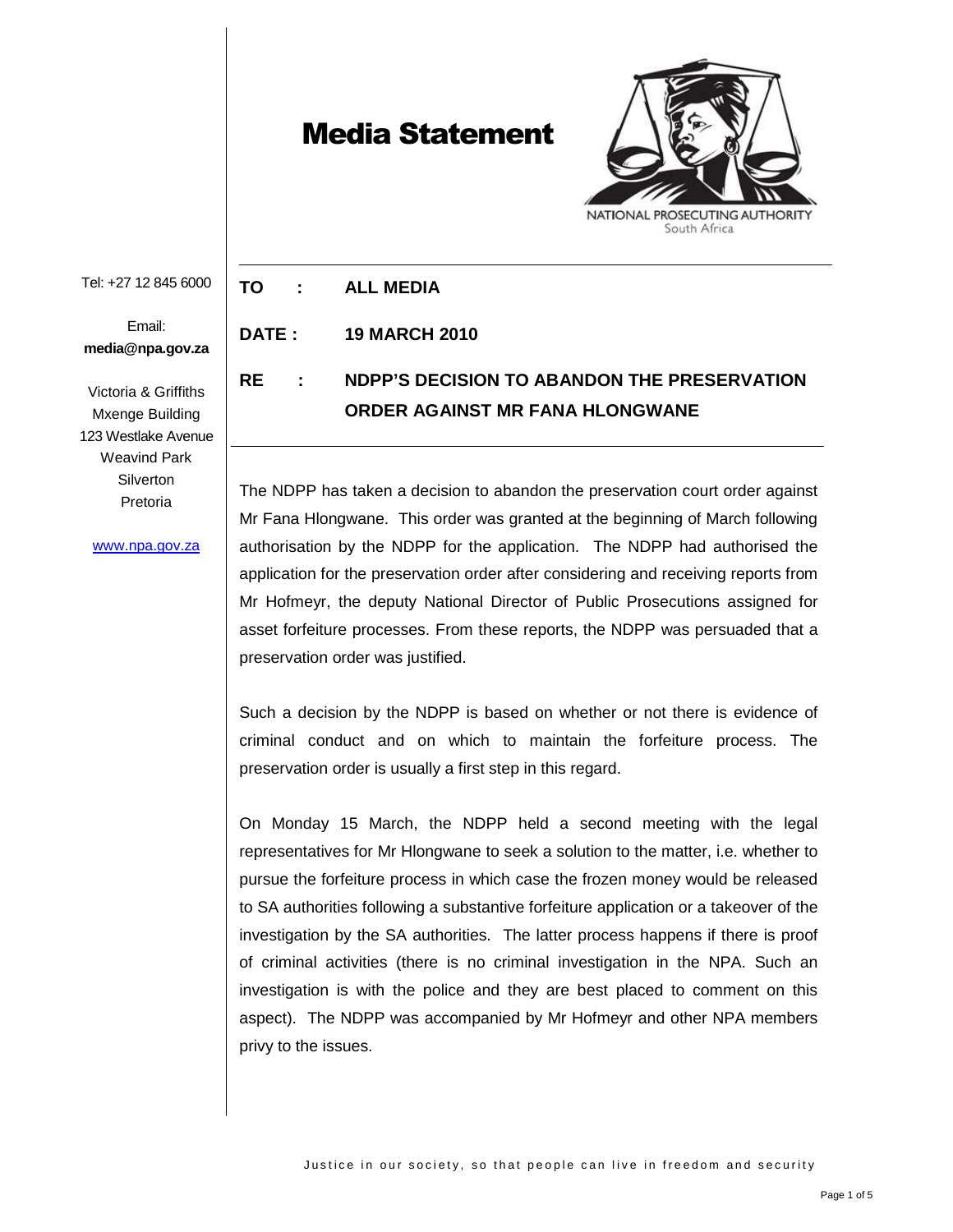## Media Statement



Tel: +27 12 845 6000

Email: **media@npa.gov.za**

Victoria & Griffiths Mxenge Building 123 Westlake Avenue Weavind Park **Silverton** Pretoria

www.npa.gov.za

**TO : ALL MEDIA** 

**DATE : 19 MARCH 2010** 

## **RE : NDPP'S DECISION TO ABANDON THE PRESERVATION ORDER AGAINST MR FANA HLONGWANE**

The NDPP has taken a decision to abandon the preservation court order against Mr Fana Hlongwane. This order was granted at the beginning of March following authorisation by the NDPP for the application. The NDPP had authorised the application for the preservation order after considering and receiving reports from Mr Hofmeyr, the deputy National Director of Public Prosecutions assigned for asset forfeiture processes. From these reports, the NDPP was persuaded that a preservation order was justified.

Such a decision by the NDPP is based on whether or not there is evidence of criminal conduct and on which to maintain the forfeiture process. The preservation order is usually a first step in this regard.

On Monday 15 March, the NDPP held a second meeting with the legal representatives for Mr Hlongwane to seek a solution to the matter, i.e. whether to pursue the forfeiture process in which case the frozen money would be released to SA authorities following a substantive forfeiture application or a takeover of the investigation by the SA authorities. The latter process happens if there is proof of criminal activities (there is no criminal investigation in the NPA. Such an investigation is with the police and they are best placed to comment on this aspect). The NDPP was accompanied by Mr Hofmeyr and other NPA members privy to the issues.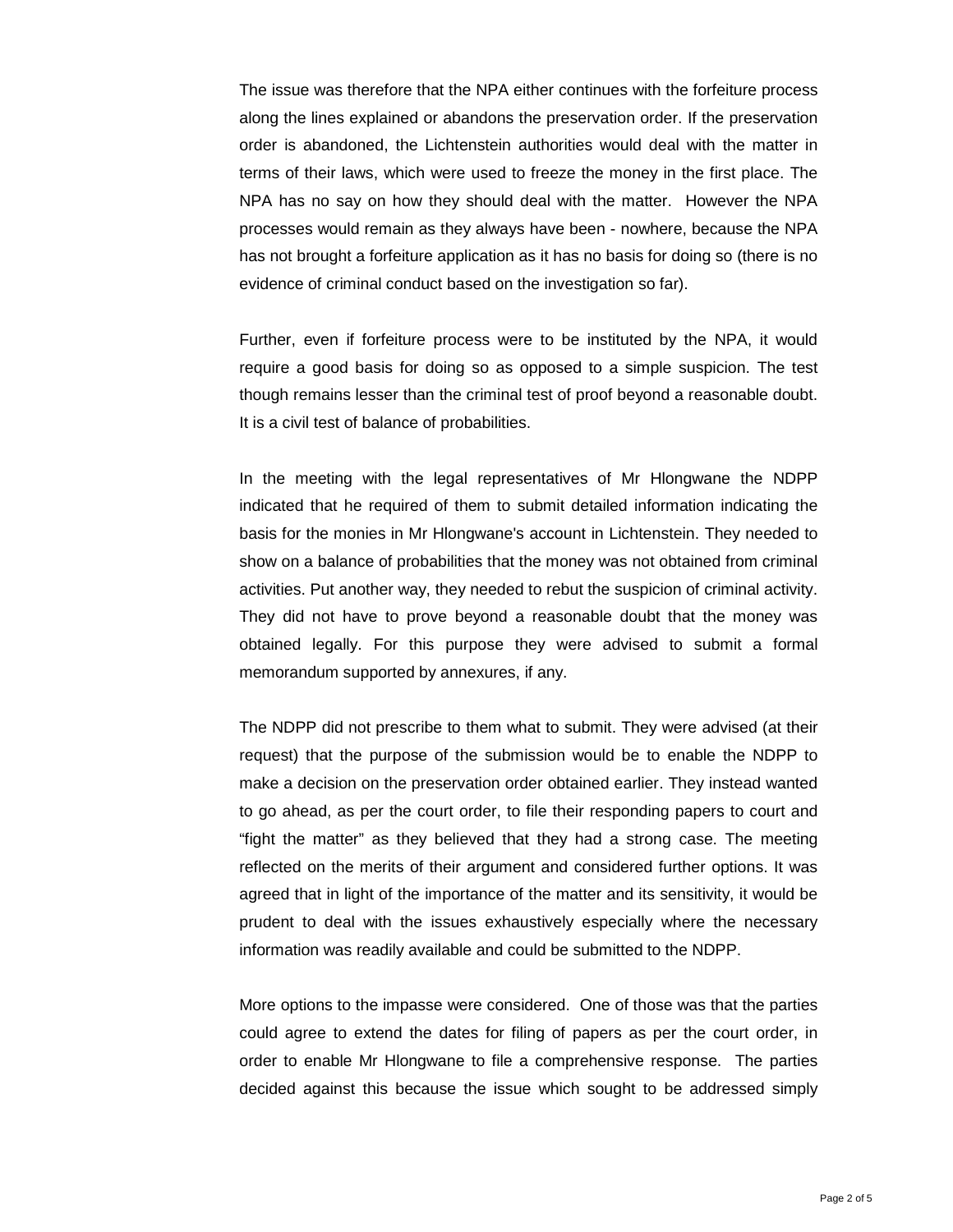The issue was therefore that the NPA either continues with the forfeiture process along the lines explained or abandons the preservation order. If the preservation order is abandoned, the Lichtenstein authorities would deal with the matter in terms of their laws, which were used to freeze the money in the first place. The NPA has no say on how they should deal with the matter. However the NPA processes would remain as they always have been - nowhere, because the NPA has not brought a forfeiture application as it has no basis for doing so (there is no evidence of criminal conduct based on the investigation so far).

Further, even if forfeiture process were to be instituted by the NPA, it would require a good basis for doing so as opposed to a simple suspicion. The test though remains lesser than the criminal test of proof beyond a reasonable doubt. It is a civil test of balance of probabilities.

In the meeting with the legal representatives of Mr Hlongwane the NDPP indicated that he required of them to submit detailed information indicating the basis for the monies in Mr Hlongwane's account in Lichtenstein. They needed to show on a balance of probabilities that the money was not obtained from criminal activities. Put another way, they needed to rebut the suspicion of criminal activity. They did not have to prove beyond a reasonable doubt that the money was obtained legally. For this purpose they were advised to submit a formal memorandum supported by annexures, if any.

The NDPP did not prescribe to them what to submit. They were advised (at their request) that the purpose of the submission would be to enable the NDPP to make a decision on the preservation order obtained earlier. They instead wanted to go ahead, as per the court order, to file their responding papers to court and "fight the matter" as they believed that they had a strong case. The meeting reflected on the merits of their argument and considered further options. It was agreed that in light of the importance of the matter and its sensitivity, it would be prudent to deal with the issues exhaustively especially where the necessary information was readily available and could be submitted to the NDPP.

More options to the impasse were considered. One of those was that the parties could agree to extend the dates for filing of papers as per the court order, in order to enable Mr Hlongwane to file a comprehensive response. The parties decided against this because the issue which sought to be addressed simply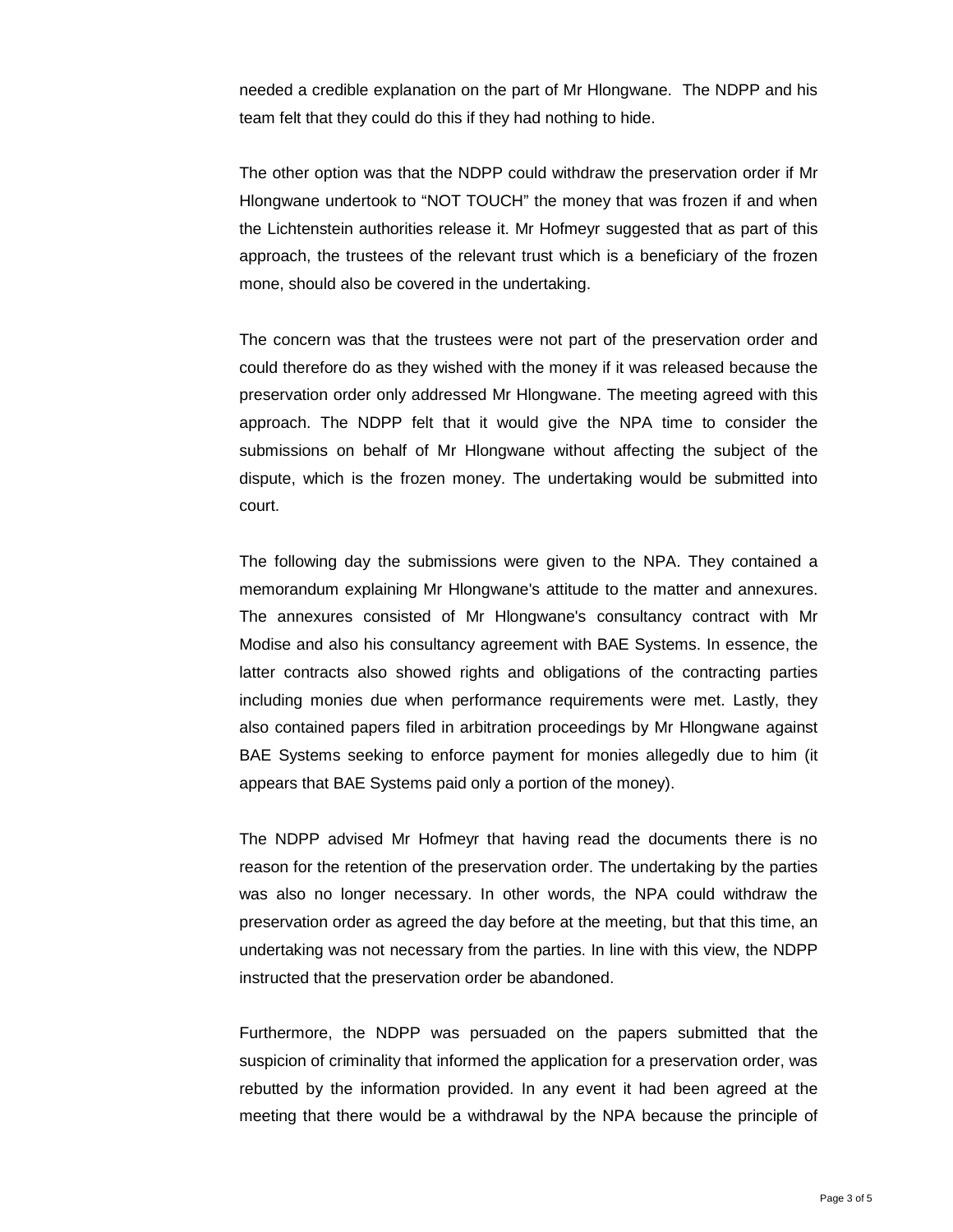needed a credible explanation on the part of Mr Hlongwane. The NDPP and his team felt that they could do this if they had nothing to hide.

The other option was that the NDPP could withdraw the preservation order if Mr Hlongwane undertook to "NOT TOUCH" the money that was frozen if and when the Lichtenstein authorities release it. Mr Hofmeyr suggested that as part of this approach, the trustees of the relevant trust which is a beneficiary of the frozen mone, should also be covered in the undertaking.

The concern was that the trustees were not part of the preservation order and could therefore do as they wished with the money if it was released because the preservation order only addressed Mr Hlongwane. The meeting agreed with this approach. The NDPP felt that it would give the NPA time to consider the submissions on behalf of Mr Hlongwane without affecting the subject of the dispute, which is the frozen money. The undertaking would be submitted into court.

The following day the submissions were given to the NPA. They contained a memorandum explaining Mr Hlongwane's attitude to the matter and annexures. The annexures consisted of Mr Hlongwane's consultancy contract with Mr Modise and also his consultancy agreement with BAE Systems. In essence, the latter contracts also showed rights and obligations of the contracting parties including monies due when performance requirements were met. Lastly, they also contained papers filed in arbitration proceedings by Mr Hlongwane against BAE Systems seeking to enforce payment for monies allegedly due to him (it appears that BAE Systems paid only a portion of the money).

The NDPP advised Mr Hofmeyr that having read the documents there is no reason for the retention of the preservation order. The undertaking by the parties was also no longer necessary. In other words, the NPA could withdraw the preservation order as agreed the day before at the meeting, but that this time, an undertaking was not necessary from the parties. In line with this view, the NDPP instructed that the preservation order be abandoned.

Furthermore, the NDPP was persuaded on the papers submitted that the suspicion of criminality that informed the application for a preservation order, was rebutted by the information provided. In any event it had been agreed at the meeting that there would be a withdrawal by the NPA because the principle of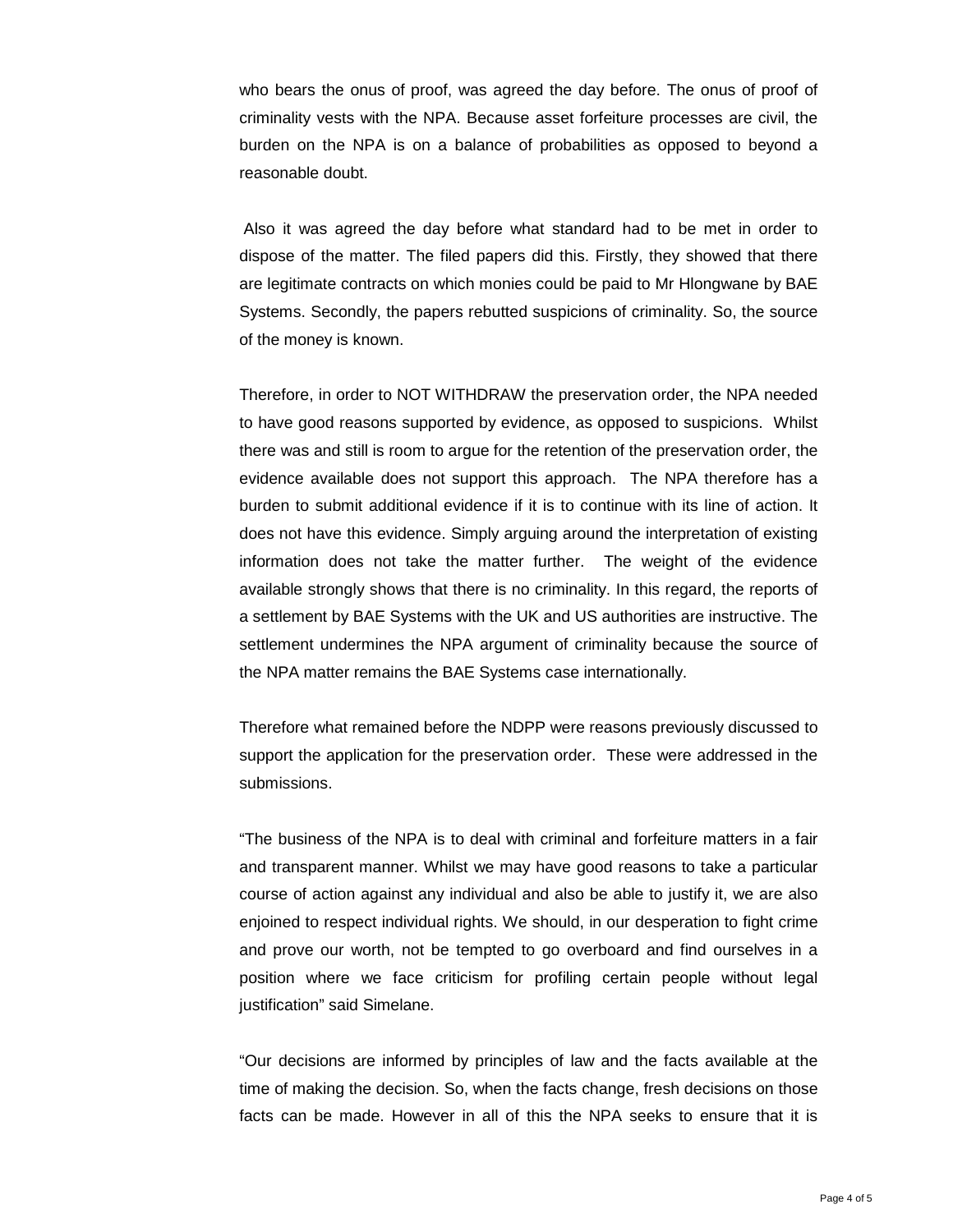who bears the onus of proof, was agreed the day before. The onus of proof of criminality vests with the NPA. Because asset forfeiture processes are civil, the burden on the NPA is on a balance of probabilities as opposed to beyond a reasonable doubt.

 Also it was agreed the day before what standard had to be met in order to dispose of the matter. The filed papers did this. Firstly, they showed that there are legitimate contracts on which monies could be paid to Mr Hlongwane by BAE Systems. Secondly, the papers rebutted suspicions of criminality. So, the source of the money is known.

Therefore, in order to NOT WITHDRAW the preservation order, the NPA needed to have good reasons supported by evidence, as opposed to suspicions. Whilst there was and still is room to argue for the retention of the preservation order, the evidence available does not support this approach. The NPA therefore has a burden to submit additional evidence if it is to continue with its line of action. It does not have this evidence. Simply arguing around the interpretation of existing information does not take the matter further. The weight of the evidence available strongly shows that there is no criminality. In this regard, the reports of a settlement by BAE Systems with the UK and US authorities are instructive. The settlement undermines the NPA argument of criminality because the source of the NPA matter remains the BAE Systems case internationally.

Therefore what remained before the NDPP were reasons previously discussed to support the application for the preservation order. These were addressed in the submissions.

"The business of the NPA is to deal with criminal and forfeiture matters in a fair and transparent manner. Whilst we may have good reasons to take a particular course of action against any individual and also be able to justify it, we are also enjoined to respect individual rights. We should, in our desperation to fight crime and prove our worth, not be tempted to go overboard and find ourselves in a position where we face criticism for profiling certain people without legal justification" said Simelane.

"Our decisions are informed by principles of law and the facts available at the time of making the decision. So, when the facts change, fresh decisions on those facts can be made. However in all of this the NPA seeks to ensure that it is